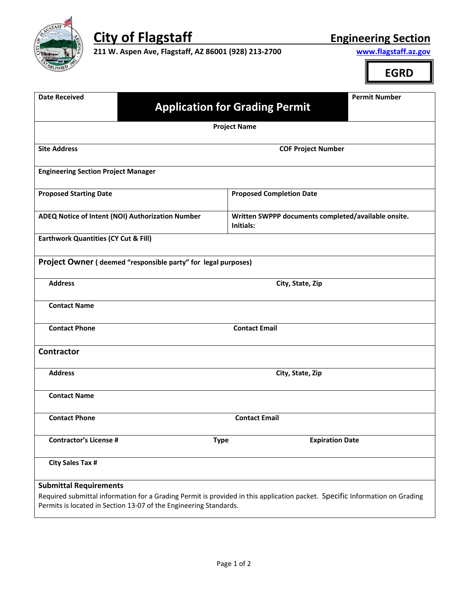

**City of** Flagstaff  Engineering Section **211 W. Aspen Ave, Flagstaff, AZ 86001 (928) 213-2700 Engineering Section Engineering 211 W. Aspen Ave, Flagstaff, AZ 86001 (928) 213‐2700 www.flagstaff.az.gov**

**EGRD**

| <b>Permit Number</b><br><b>Date Received</b><br><b>Application for Grading Permit</b>              |                                                                                                                             |  |  |  |
|----------------------------------------------------------------------------------------------------|-----------------------------------------------------------------------------------------------------------------------------|--|--|--|
| <b>Project Name</b>                                                                                |                                                                                                                             |  |  |  |
|                                                                                                    |                                                                                                                             |  |  |  |
| <b>Site Address</b>                                                                                | <b>COF Project Number</b>                                                                                                   |  |  |  |
| <b>Engineering Section Project Manager</b>                                                         |                                                                                                                             |  |  |  |
| <b>Proposed Starting Date</b>                                                                      | <b>Proposed Completion Date</b>                                                                                             |  |  |  |
| ADEQ Notice of Intent (NOI) Authorization Number                                                   | Written SWPPP documents completed/available onsite.<br>Initials:                                                            |  |  |  |
| <b>Earthwork Quantities (CY Cut &amp; Fill)</b>                                                    |                                                                                                                             |  |  |  |
| Project Owner (deemed "responsible party" for legal purposes)                                      |                                                                                                                             |  |  |  |
| <b>Address</b>                                                                                     | City, State, Zip                                                                                                            |  |  |  |
| <b>Contact Name</b>                                                                                |                                                                                                                             |  |  |  |
| <b>Contact Phone</b>                                                                               | <b>Contact Email</b>                                                                                                        |  |  |  |
| <b>Contractor</b>                                                                                  |                                                                                                                             |  |  |  |
| <b>Address</b>                                                                                     | City, State, Zip                                                                                                            |  |  |  |
| <b>Contact Name</b>                                                                                |                                                                                                                             |  |  |  |
| <b>Contact Phone</b>                                                                               | <b>Contact Email</b>                                                                                                        |  |  |  |
| <b>Contractor's License #</b><br><b>Type</b>                                                       | <b>Expiration Date</b>                                                                                                      |  |  |  |
| <b>City Sales Tax #</b>                                                                            |                                                                                                                             |  |  |  |
| <b>Submittal Requirements</b><br>Permits is located in Section 13-07 of the Engineering Standards. | Required submittal information for a Grading Permit is provided in this application packet. Specific Information on Grading |  |  |  |